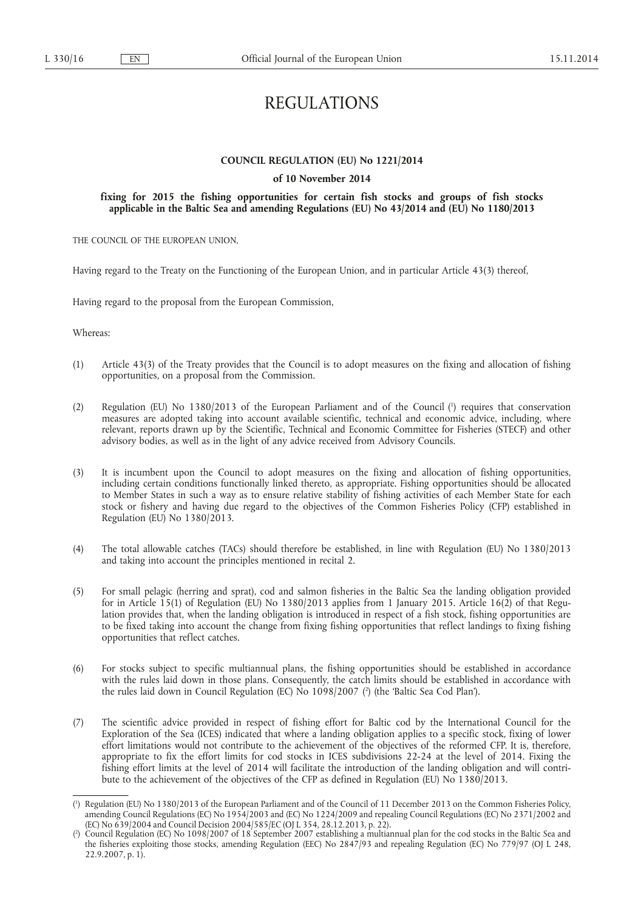# REGULATIONS

# **COUNCIL REGULATION (EU) No 1221/2014**

# **of 10 November 2014**

# **fixing for 2015 the fishing opportunities for certain fish stocks and groups of fish stocks applicable in the Baltic Sea and amending Regulations (EU) No 43/2014 and (EU) No 1180/2013**

THE COUNCIL OF THE EUROPEAN UNION,

Having regard to the Treaty on the Functioning of the European Union, and in particular Article 43(3) thereof,

Having regard to the proposal from the European Commission,

Whereas:

- (1) Article 43(3) of the Treaty provides that the Council is to adopt measures on the fixing and allocation of fishing opportunities, on a proposal from the Commission.
- (2) Regulation (EU) No 1380/2013 of the European Parliament and of the Council ( 1 ) requires that conservation measures are adopted taking into account available scientific, technical and economic advice, including, where relevant, reports drawn up by the Scientific, Technical and Economic Committee for Fisheries (STECF) and other advisory bodies, as well as in the light of any advice received from Advisory Councils.
- (3) It is incumbent upon the Council to adopt measures on the fixing and allocation of fishing opportunities, including certain conditions functionally linked thereto, as appropriate. Fishing opportunities should be allocated to Member States in such a way as to ensure relative stability of fishing activities of each Member State for each stock or fishery and having due regard to the objectives of the Common Fisheries Policy (CFP) established in Regulation (EU) No 1380/2013.
- (4) The total allowable catches (TACs) should therefore be established, in line with Regulation (EU) No 1380/2013 and taking into account the principles mentioned in recital 2.
- (5) For small pelagic (herring and sprat), cod and salmon fisheries in the Baltic Sea the landing obligation provided for in Article 15(1) of Regulation (EU) No 1380/2013 applies from 1 January 2015. Article 16(2) of that Regulation provides that, when the landing obligation is introduced in respect of a fish stock, fishing opportunities are to be fixed taking into account the change from fixing fishing opportunities that reflect landings to fixing fishing opportunities that reflect catches.
- (6) For stocks subject to specific multiannual plans, the fishing opportunities should be established in accordance with the rules laid down in those plans. Consequently, the catch limits should be established in accordance with the rules laid down in Council Regulation (EC) No 1098/2007 (?) (the 'Baltic Sea Cod Plan').
- (7) The scientific advice provided in respect of fishing effort for Baltic cod by the International Council for the Exploration of the Sea (ICES) indicated that where a landing obligation applies to a specific stock, fixing of lower effort limitations would not contribute to the achievement of the objectives of the reformed CFP. It is, therefore, appropriate to fix the effort limits for cod stocks in ICES subdivisions 22-24 at the level of 2014. Fixing the fishing effort limits at the level of 2014 will facilitate the introduction of the landing obligation and will contribute to the achievement of the objectives of the CFP as defined in Regulation (EU) No 1380/2013.

<sup>(</sup> 1 ) Regulation (EU) No 1380/2013 of the European Parliament and of the Council of 11 December 2013 on the Common Fisheries Policy, amending Council Regulations (EC) No 1954/2003 and (EC) No 1224/2009 and repealing Council Regulations (EC) No 2371/2002 and (EC) No 639/2004 and Council Decision 2004/585/EC (OJ L 354, 28.12.2013, p. 22).

<sup>(</sup> 2 ) Council Regulation (EC) No 1098/2007 of 18 September 2007 establishing a multiannual plan for the cod stocks in the Baltic Sea and the fisheries exploiting those stocks, amending Regulation (EEC) No 2847/93 and repealing Regulation (EC) No 779/97 (OJ L 248, 22.9.2007, p. 1).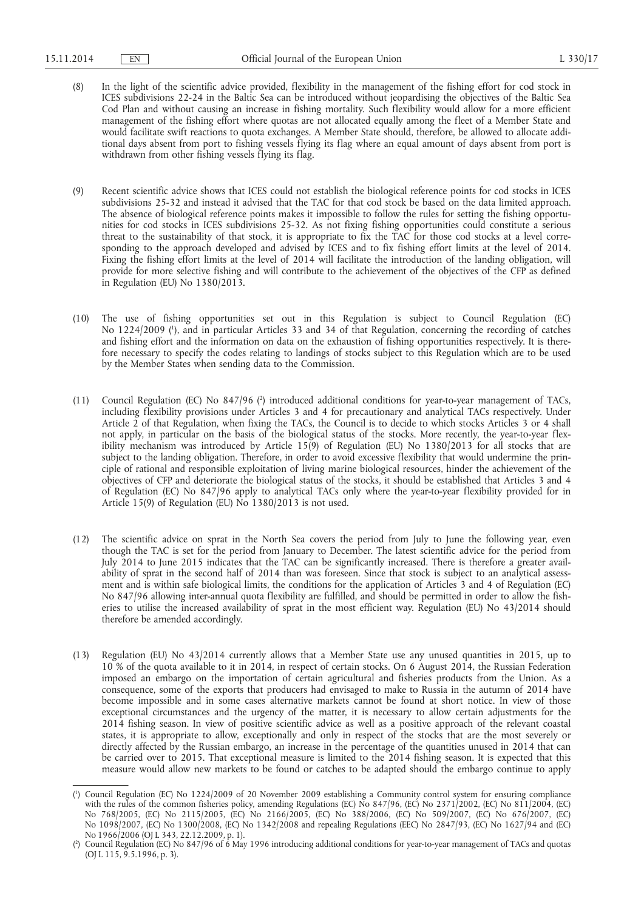- (8) In the light of the scientific advice provided, flexibility in the management of the fishing effort for cod stock in ICES subdivisions 22-24 in the Baltic Sea can be introduced without jeopardising the objectives of the Baltic Sea Cod Plan and without causing an increase in fishing mortality. Such flexibility would allow for a more efficient management of the fishing effort where quotas are not allocated equally among the fleet of a Member State and would facilitate swift reactions to quota exchanges. A Member State should, therefore, be allowed to allocate additional days absent from port to fishing vessels flying its flag where an equal amount of days absent from port is withdrawn from other fishing vessels flying its flag.
- (9) Recent scientific advice shows that ICES could not establish the biological reference points for cod stocks in ICES subdivisions 25-32 and instead it advised that the TAC for that cod stock be based on the data limited approach. The absence of biological reference points makes it impossible to follow the rules for setting the fishing opportunities for cod stocks in ICES subdivisions 25-32. As not fixing fishing opportunities could constitute a serious threat to the sustainability of that stock, it is appropriate to fix the TAC for those cod stocks at a level corresponding to the approach developed and advised by ICES and to fix fishing effort limits at the level of 2014. Fixing the fishing effort limits at the level of 2014 will facilitate the introduction of the landing obligation, will provide for more selective fishing and will contribute to the achievement of the objectives of the CFP as defined in Regulation (EU) No 1380/2013.
- (10) The use of fishing opportunities set out in this Regulation is subject to Council Regulation (EC) No 1224/2009 ( 1 ), and in particular Articles 33 and 34 of that Regulation, concerning the recording of catches and fishing effort and the information on data on the exhaustion of fishing opportunities respectively. It is therefore necessary to specify the codes relating to landings of stocks subject to this Regulation which are to be used by the Member States when sending data to the Commission.
- (11) Council Regulation (EC) No 847/96 ( 2 ) introduced additional conditions for year-to-year management of TACs, including flexibility provisions under Articles 3 and 4 for precautionary and analytical TACs respectively. Under Article 2 of that Regulation, when fixing the TACs, the Council is to decide to which stocks Articles 3 or 4 shall not apply, in particular on the basis of the biological status of the stocks. More recently, the year-to-year flexibility mechanism was introduced by Article 15(9) of Regulation (EU) No 1380/2013 for all stocks that are subject to the landing obligation. Therefore, in order to avoid excessive flexibility that would undermine the principle of rational and responsible exploitation of living marine biological resources, hinder the achievement of the objectives of CFP and deteriorate the biological status of the stocks, it should be established that Articles 3 and 4 of Regulation (EC) No 847/96 apply to analytical TACs only where the year-to-year flexibility provided for in Article 15(9) of Regulation (EU) No 1380/2013 is not used.
- (12) The scientific advice on sprat in the North Sea covers the period from July to June the following year, even though the TAC is set for the period from January to December. The latest scientific advice for the period from July 2014 to June 2015 indicates that the TAC can be significantly increased. There is therefore a greater availability of sprat in the second half of 2014 than was foreseen. Since that stock is subject to an analytical assessment and is within safe biological limits, the conditions for the application of Articles 3 and 4 of Regulation (EC) No 847/96 allowing inter-annual quota flexibility are fulfilled, and should be permitted in order to allow the fisheries to utilise the increased availability of sprat in the most efficient way. Regulation (EU) No 43/2014 should therefore be amended accordingly.
- (13) Regulation (EU) No 43/2014 currently allows that a Member State use any unused quantities in 2015, up to 10 % of the quota available to it in 2014, in respect of certain stocks. On 6 August 2014, the Russian Federation imposed an embargo on the importation of certain agricultural and fisheries products from the Union. As a consequence, some of the exports that producers had envisaged to make to Russia in the autumn of 2014 have become impossible and in some cases alternative markets cannot be found at short notice. In view of those exceptional circumstances and the urgency of the matter, it is necessary to allow certain adjustments for the 2014 fishing season. In view of positive scientific advice as well as a positive approach of the relevant coastal states, it is appropriate to allow, exceptionally and only in respect of the stocks that are the most severely or directly affected by the Russian embargo, an increase in the percentage of the quantities unused in 2014 that can be carried over to 2015. That exceptional measure is limited to the 2014 fishing season. It is expected that this measure would allow new markets to be found or catches to be adapted should the embargo continue to apply

<sup>(</sup> 1 ) Council Regulation (EC) No 1224/2009 of 20 November 2009 establishing a Community control system for ensuring compliance with the rules of the common fisheries policy, amending Regulations (EC) No 847/96, (EC) No 2371/2002, (EC) No 811/2004, (EC) No 768/2005, (EC) No 2115/2005, (EC) No 2166/2005, (EC) No 388/2006, (EC) No 509/2007, (EC) No 676/2007, (EC) No 1098/2007, (EC) No 1300/2008, (EC) No 1342/2008 and repealing Regulations (EEC) No 2847/93, (EC) No 1627/94 and (EC) No 1966/2006 (OJ L 343, 22.12.2009, p. 1).

<sup>(</sup> 2 ) Council Regulation (EC) No 847/96 of 6 May 1996 introducing additional conditions for year-to-year management of TACs and quotas (OJ L 115, 9.5.1996, p. 3).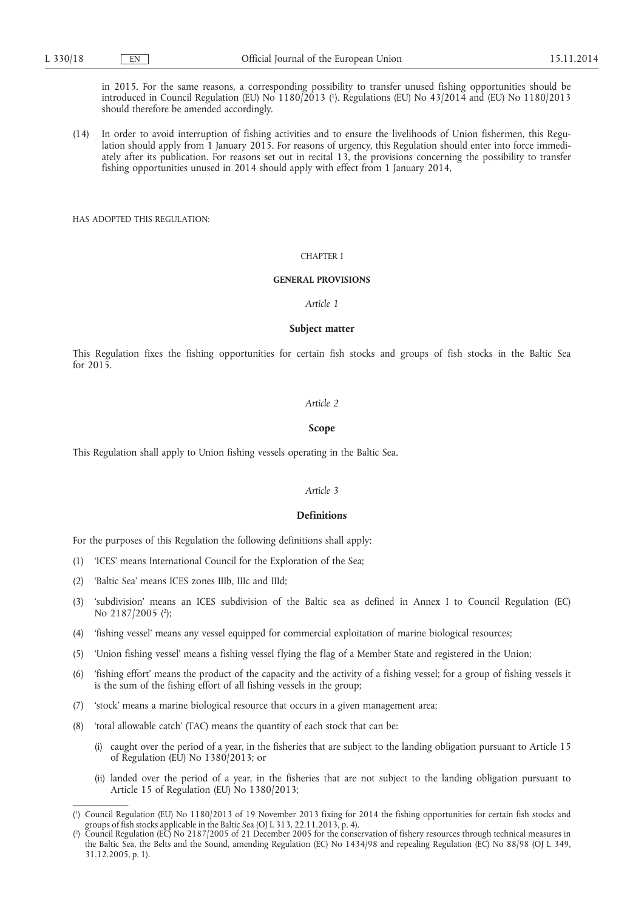in 2015. For the same reasons, a corresponding possibility to transfer unused fishing opportunities should be introduced in Council Regulation (EU) No 1180/2013 ( 1 ). Regulations (EU) No 43/2014 and (EU) No 1180/2013 should therefore be amended accordingly.

(14) In order to avoid interruption of fishing activities and to ensure the livelihoods of Union fishermen, this Regulation should apply from 1 January 2015. For reasons of urgency, this Regulation should enter into force immediately after its publication. For reasons set out in recital 13, the provisions concerning the possibility to transfer fishing opportunities unused in 2014 should apply with effect from 1 January 2014,

HAS ADOPTED THIS REGULATION:

# CHAPTER I

# **GENERAL PROVISIONS**

*Article 1* 

### **Subject matter**

This Regulation fixes the fishing opportunities for certain fish stocks and groups of fish stocks in the Baltic Sea for 2015.

#### *Article 2*

#### **Scope**

This Regulation shall apply to Union fishing vessels operating in the Baltic Sea.

# *Article 3*

# **Definitions**

For the purposes of this Regulation the following definitions shall apply:

- (1) 'ICES' means International Council for the Exploration of the Sea;
- (2) 'Baltic Sea' means ICES zones IIIb, IIIc and IIId;
- (3) 'subdivision' means an ICES subdivision of the Baltic sea as defined in Annex I to Council Regulation (EC) No 2187/2005 (<sup>2</sup>);
- (4) 'fishing vessel' means any vessel equipped for commercial exploitation of marine biological resources;
- (5) 'Union fishing vessel' means a fishing vessel flying the flag of a Member State and registered in the Union;
- (6) 'fishing effort' means the product of the capacity and the activity of a fishing vessel; for a group of fishing vessels it is the sum of the fishing effort of all fishing vessels in the group;
- (7) 'stock' means a marine biological resource that occurs in a given management area;
- (8) 'total allowable catch' (TAC) means the quantity of each stock that can be:
	- (i) caught over the period of a year, in the fisheries that are subject to the landing obligation pursuant to Article 15 of Regulation (EU) No 1380/2013; or
	- (ii) landed over the period of a year, in the fisheries that are not subject to the landing obligation pursuant to Article 15 of Regulation (EU) No 1380/2013;

<sup>(</sup> 1 ) Council Regulation (EU) No 1180/2013 of 19 November 2013 fixing for 2014 the fishing opportunities for certain fish stocks and groups of fish stocks applicable in the Baltic Sea (OJ L 313, 22.11.2013, p. 4).

<sup>(</sup> 2 ) Council Regulation (EC) No 2187/2005 of 21 December 2005 for the conservation of fishery resources through technical measures in the Baltic Sea, the Belts and the Sound, amending Regulation (EC) No 1434/98 and repealing Regulation (EC) No 88/98 (OJ L 349, 31.12.2005, p. 1).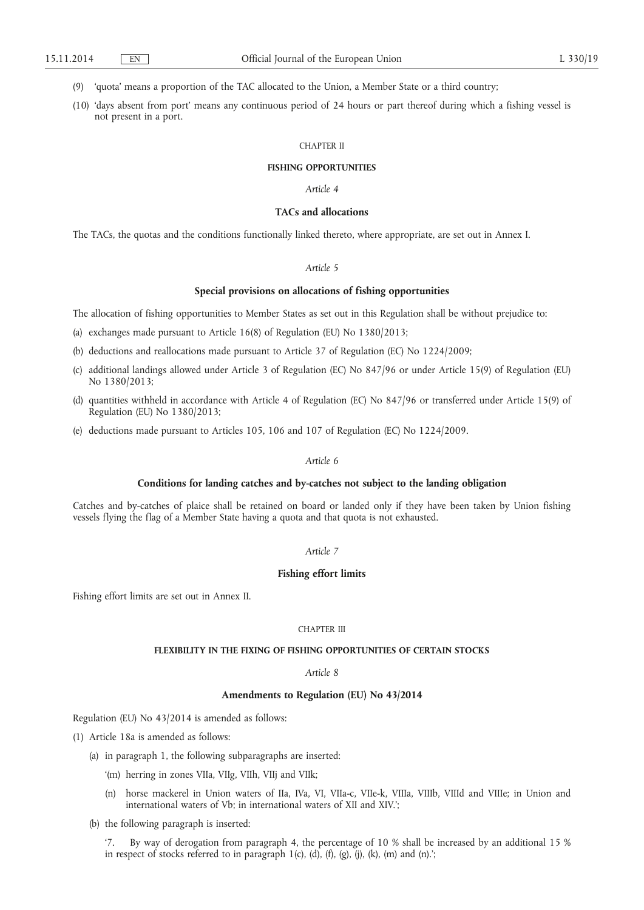(9) 'quota' means a proportion of the TAC allocated to the Union, a Member State or a third country;

(10) 'days absent from port' means any continuous period of 24 hours or part thereof during which a fishing vessel is not present in a port.

#### CHAPTER II

# **FISHING OPPORTUNITIES**

# *Article 4*

# **TACs and allocations**

The TACs, the quotas and the conditions functionally linked thereto, where appropriate, are set out in Annex I.

# *Article 5*

### **Special provisions on allocations of fishing opportunities**

The allocation of fishing opportunities to Member States as set out in this Regulation shall be without prejudice to:

- (a) exchanges made pursuant to Article 16(8) of Regulation (EU) No 1380/2013;
- (b) deductions and reallocations made pursuant to Article 37 of Regulation (EC) No 1224/2009;
- (c) additional landings allowed under Article 3 of Regulation (EC) No 847/96 or under Article 15(9) of Regulation (EU) No 1380/2013;
- (d) quantities withheld in accordance with Article 4 of Regulation (EC) No 847/96 or transferred under Article 15(9) of Regulation (EU) No 1380/2013;
- (e) deductions made pursuant to Articles 105, 106 and 107 of Regulation (EC) No 1224/2009.

### *Article 6*

# **Conditions for landing catches and by-catches not subject to the landing obligation**

Catches and by-catches of plaice shall be retained on board or landed only if they have been taken by Union fishing vessels flying the flag of a Member State having a quota and that quota is not exhausted.

# *Article 7*

# **Fishing effort limits**

Fishing effort limits are set out in Annex II.

#### CHAPTER III

# **FLEXIBILITY IN THE FIXING OF FISHING OPPORTUNITIES OF CERTAIN STOCKS**

*Article 8* 

### **Amendments to Regulation (EU) No 43/2014**

Regulation (EU) No 43/2014 is amended as follows:

- (1) Article 18a is amended as follows:
	- (a) in paragraph 1, the following subparagraphs are inserted:
		- '(m) herring in zones VIIa, VIIg, VIIh, VIIj and VIIk;
		- (n) horse mackerel in Union waters of IIa, IVa, VI, VIIa-c, VIIe-k, VIIIa, VIIIb, VIIId and VIIIe; in Union and international waters of Vb; in international waters of XII and XIV.';
	- (b) the following paragraph is inserted:

'7. By way of derogation from paragraph 4, the percentage of 10 % shall be increased by an additional 15 % in respect of stocks referred to in paragraph  $1(c)$ ,  $(d)$ ,  $(f)$ ,  $(g)$ ,  $(j)$ ,  $(k)$ ,  $(m)$  and  $(n)$ .;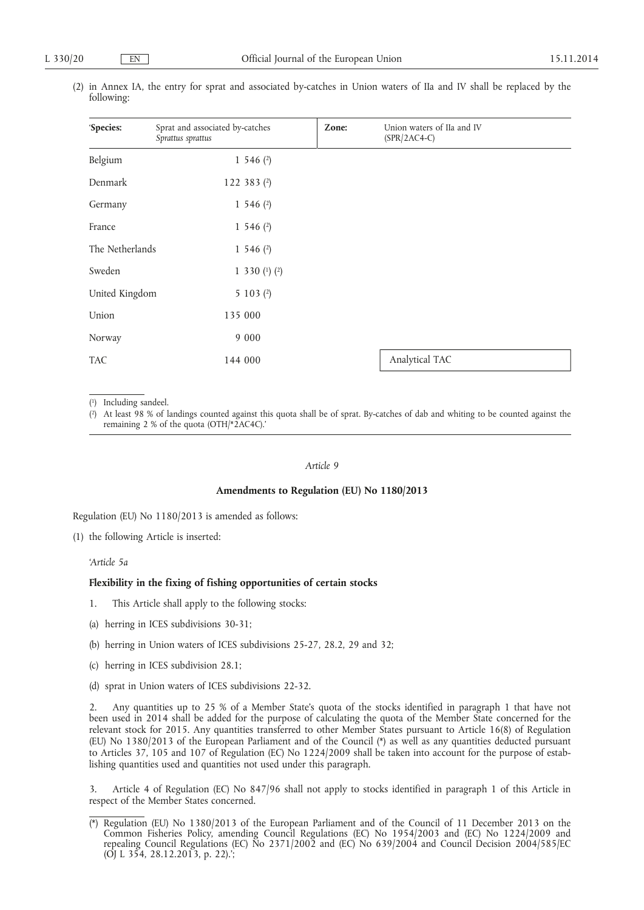| 'Species:       | Sprat and associated by-catches<br>Sprattus sprattus | Zone: | Union waters of IIa and IV<br>$(SPR/2AC4-C)$ |
|-----------------|------------------------------------------------------|-------|----------------------------------------------|
| Belgium         | 1 546 $(2)$                                          |       |                                              |
| Denmark         | 122 383 $(2)$                                        |       |                                              |
| Germany         | 1 546 $(2)$                                          |       |                                              |
| France          | 1 546 $(2)$                                          |       |                                              |
| The Netherlands | 1 546 $(2)$                                          |       |                                              |
| Sweden          | 1 330 $(1)$ $(2)$                                    |       |                                              |
| United Kingdom  | 5 1 0 3 $(2)$                                        |       |                                              |
| Union           | 135 000                                              |       |                                              |
| Norway          | 9 0 0 0                                              |       |                                              |
| <b>TAC</b>      | 144 000                                              |       | Analytical TAC                               |

(2) in Annex IA, the entry for sprat and associated by-catches in Union waters of IIa and IV shall be replaced by the following:

( 1) Including sandeel.

(2) At least 98 % of landings counted against this quota shall be of sprat. By-catches of dab and whiting to be counted against the remaining 2 % of the quota (OTH/\*2AC4C).'

## *Article 9*

### **Amendments to Regulation (EU) No 1180/2013**

Regulation (EU) No 1180/2013 is amended as follows:

(1) the following Article is inserted:

*'Article 5a* 

# **Flexibility in the fixing of fishing opportunities of certain stocks**

- 1. This Article shall apply to the following stocks:
- (a) herring in ICES subdivisions 30-31;
- (b) herring in Union waters of ICES subdivisions 25-27, 28.2, 29 and 32;
- (c) herring in ICES subdivision 28.1;
- (d) sprat in Union waters of ICES subdivisions 22-32.

2. Any quantities up to 25 % of a Member State's quota of the stocks identified in paragraph 1 that have not been used in 2014 shall be added for the purpose of calculating the quota of the Member State concerned for the relevant stock for 2015. Any quantities transferred to other Member States pursuant to Article 16(8) of Regulation (EU) No 1380/2013 of the European Parliament and of the Council (\*) as well as any quantities deducted pursuant to Articles 37, 105 and 107 of Regulation (EC) No 1224/2009 shall be taken into account for the purpose of establishing quantities used and quantities not used under this paragraph.

3. Article 4 of Regulation (EC) No 847/96 shall not apply to stocks identified in paragraph 1 of this Article in respect of the Member States concerned.

<sup>(\*)</sup> Regulation (EU) No 1380/2013 of the European Parliament and of the Council of 11 December 2013 on the Common Fisheries Policy, amending Council Regulations (EC) No 1954/2003 and (EC) No 1224/2009 and repealing Council Regulations (EC) No 2371/2002 and (EC) No 639/2004 and Council Decision 2004/585/EC (OJ L 354, 28.12.2013, p. 22).';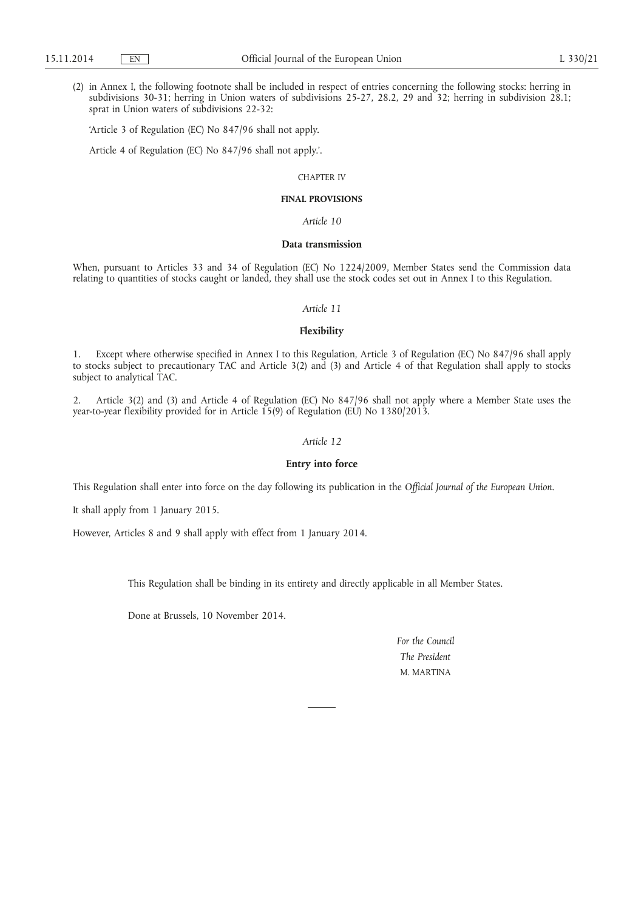(2) in Annex I, the following footnote shall be included in respect of entries concerning the following stocks: herring in subdivisions 30-31; herring in Union waters of subdivisions 25-27, 28.2, 29 and 32; herring in subdivision 28.1; sprat in Union waters of subdivisions 22-32:

'Article 3 of Regulation (EC) No 847/96 shall not apply.

Article 4 of Regulation (EC) No 847/96 shall not apply.'.

### CHAPTER IV

# **FINAL PROVISIONS**

*Article 10* 

### **Data transmission**

When, pursuant to Articles 33 and 34 of Regulation (EC) No 1224/2009, Member States send the Commission data relating to quantities of stocks caught or landed, they shall use the stock codes set out in Annex I to this Regulation.

### *Article 11*

### **Flexibility**

1. Except where otherwise specified in Annex I to this Regulation, Article 3 of Regulation (EC) No 847/96 shall apply to stocks subject to precautionary TAC and Article 3(2) and (3) and Article 4 of that Regulation shall apply to stocks subject to analytical TAC.

2. Article 3(2) and (3) and Article 4 of Regulation (EC) No 847/96 shall not apply where a Member State uses the year-to-year flexibility provided for in Article 15(9) of Regulation (EU) No 1380/2013.

# *Article 12*

# **Entry into force**

This Regulation shall enter into force on the day following its publication in the *Official Journal of the European Union*.

It shall apply from 1 January 2015.

However, Articles 8 and 9 shall apply with effect from 1 January 2014.

This Regulation shall be binding in its entirety and directly applicable in all Member States.

Done at Brussels, 10 November 2014.

*For the Council The President*  M. MARTINA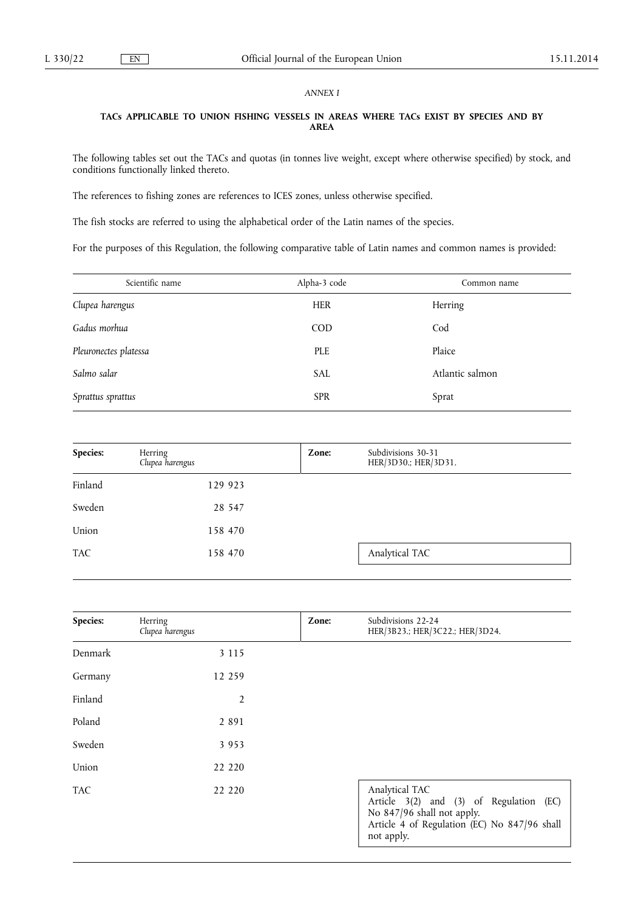# *ANNEX I*

# **TACs APPLICABLE TO UNION FISHING VESSELS IN AREAS WHERE TACs EXIST BY SPECIES AND BY AREA**

The following tables set out the TACs and quotas (in tonnes live weight, except where otherwise specified) by stock, and conditions functionally linked thereto.

The references to fishing zones are references to ICES zones, unless otherwise specified.

The fish stocks are referred to using the alphabetical order of the Latin names of the species.

For the purposes of this Regulation, the following comparative table of Latin names and common names is provided:

| Alpha-3 code | Common name     |
|--------------|-----------------|
| <b>HER</b>   | Herring         |
| <b>COD</b>   | Cod             |
| <b>PLE</b>   | Plaice          |
| <b>SAL</b>   | Atlantic salmon |
| <b>SPR</b>   | Sprat           |
|              |                 |

|         | Herring<br>Clupea harengus | Zone: | Subdivisions 30-31<br>HER/3D30.; HER/3D31. |
|---------|----------------------------|-------|--------------------------------------------|
| Finland | 129 923                    |       |                                            |
| Sweden  | 28 547                     |       |                                            |
| Union   | 158 470                    |       |                                            |
| TAC     | 158 470                    |       | Analytical TAC                             |

| Species:   | Herring<br>Clupea harengus | Zone: | Subdivisions 22-24<br>HER/3B23.; HER/3C22.; HER/3D24.                                                                                                 |
|------------|----------------------------|-------|-------------------------------------------------------------------------------------------------------------------------------------------------------|
| Denmark    | 3 1 1 5                    |       |                                                                                                                                                       |
| Germany    | 12 259                     |       |                                                                                                                                                       |
| Finland    | $\overline{2}$             |       |                                                                                                                                                       |
| Poland     | 2 8 9 1                    |       |                                                                                                                                                       |
| Sweden     | 3 9 5 3                    |       |                                                                                                                                                       |
| Union      | 22 2 2 0                   |       |                                                                                                                                                       |
| <b>TAC</b> | 22 2 2 0                   |       | Analytical TAC<br>Article 3(2) and (3) of Regulation (EC)<br>No 847/96 shall not apply.<br>Article 4 of Regulation (EC) No 847/96 shall<br>not apply. |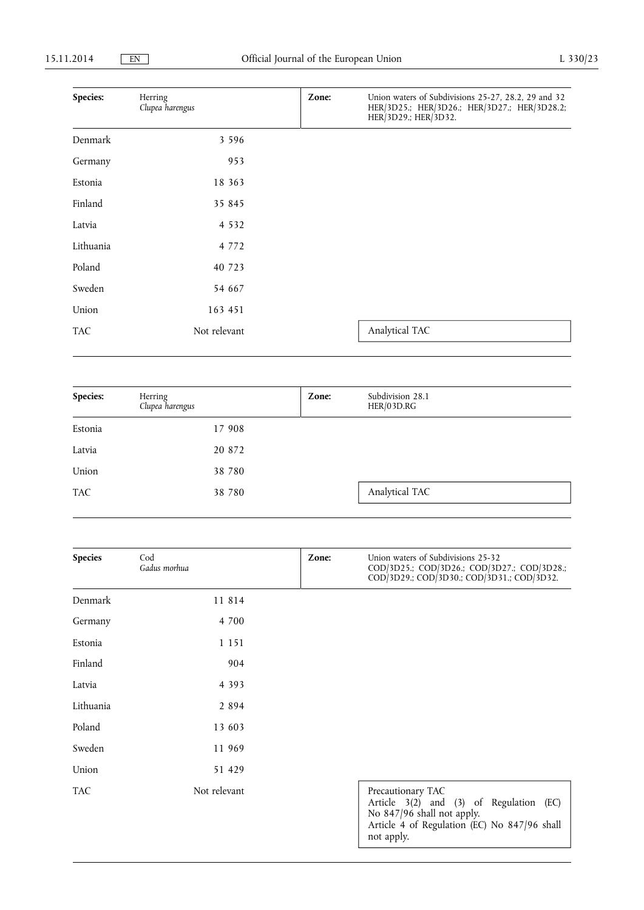| Species:   | Herring<br>Clupea harengus | Zone: | Union waters of Subdivisions 25-27, 28.2, 29 and 32<br>HER/3D25.; HER/3D26.; HER/3D27.; HER/3D28.2;<br>HER/3D29.; HER/3D32. |
|------------|----------------------------|-------|-----------------------------------------------------------------------------------------------------------------------------|
| Denmark    | 3 5 9 6                    |       |                                                                                                                             |
| Germany    | 953                        |       |                                                                                                                             |
| Estonia    | 18 363                     |       |                                                                                                                             |
| Finland    | 35 845                     |       |                                                                                                                             |
| Latvia     | 4 5 3 2                    |       |                                                                                                                             |
| Lithuania  | 4 7 7 2                    |       |                                                                                                                             |
| Poland     | 40 723                     |       |                                                                                                                             |
| Sweden     | 54 667                     |       |                                                                                                                             |
| Union      | 163 451                    |       |                                                                                                                             |
| <b>TAC</b> | Not relevant               |       | Analytical TAC                                                                                                              |

| Species:   | Herring<br>Clupea harengus | Zone: | Subdivision 28.1<br>HER/03D.RG |
|------------|----------------------------|-------|--------------------------------|
| Estonia    | 17 908                     |       |                                |
| Latvia     | 20 872                     |       |                                |
| Union      | 38 7 80                    |       |                                |
| <b>TAC</b> | 38 780                     |       | Analytical TAC                 |

| <b>Species</b> | Cod<br>Gadus morhua | Zone: | Union waters of Subdivisions 25-32<br>COD/3D25.; COD/3D26.; COD/3D27.; COD/3D28.;<br>COD/3D29.; COD/3D30.; COD/3D31.; COD/3D32.                          |
|----------------|---------------------|-------|----------------------------------------------------------------------------------------------------------------------------------------------------------|
| Denmark        | 11 814              |       |                                                                                                                                                          |
| Germany        | 4 700               |       |                                                                                                                                                          |
| Estonia        | 1 1 5 1             |       |                                                                                                                                                          |
| Finland        | 904                 |       |                                                                                                                                                          |
| Latvia         | 4 3 9 3             |       |                                                                                                                                                          |
| Lithuania      | 2 8 9 4             |       |                                                                                                                                                          |
| Poland         | 13 603              |       |                                                                                                                                                          |
| Sweden         | 11 969              |       |                                                                                                                                                          |
| Union          | 51 429              |       |                                                                                                                                                          |
| <b>TAC</b>     | Not relevant        |       | Precautionary TAC<br>Article 3(2) and (3) of Regulation (EC)<br>No 847/96 shall not apply.<br>Article 4 of Regulation (EC) No 847/96 shall<br>not apply. |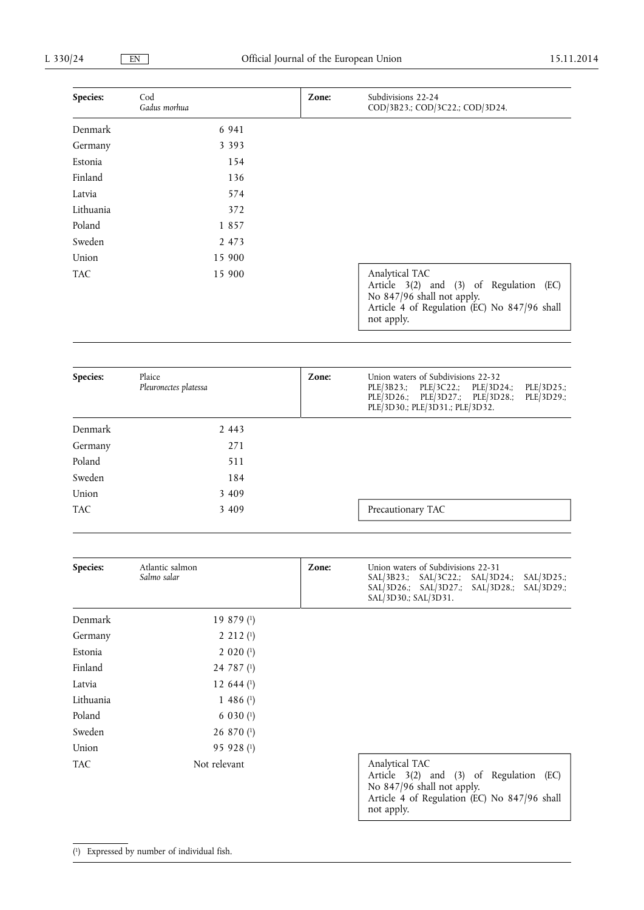| Species:   | Cod<br>Gadus morhua | Zone: | Subdivisions 22-24<br>COD/3B23.; COD/3C22.; COD/3D24.                                                                                                 |
|------------|---------------------|-------|-------------------------------------------------------------------------------------------------------------------------------------------------------|
| Denmark    | 6 9 4 1             |       |                                                                                                                                                       |
| Germany    | 3 3 9 3             |       |                                                                                                                                                       |
| Estonia    | 154                 |       |                                                                                                                                                       |
| Finland    | 136                 |       |                                                                                                                                                       |
| Latvia     | 574                 |       |                                                                                                                                                       |
| Lithuania  | 372                 |       |                                                                                                                                                       |
| Poland     | 1857                |       |                                                                                                                                                       |
| Sweden     | 2 4 7 3             |       |                                                                                                                                                       |
| Union      | 15 900              |       |                                                                                                                                                       |
| <b>TAC</b> | 15 900              |       | Analytical TAC<br>Article 3(2) and (3) of Regulation (EC)<br>No 847/96 shall not apply.<br>Article 4 of Regulation (EC) No 847/96 shall<br>not apply. |

| Species:   | Plaice<br>Pleuronectes platessa | Zone: | Union waters of Subdivisions 22-32<br>PLE/3B23.; PLE/3C22.; PLE/3D24.;<br>PLE/3D25.;<br>PLE/3D26.; PLE/3D27.; PLE/3D28.;<br>PLE/3D29.;<br>PLE/3D30.; PLE/3D31.; PLE/3D32. |
|------------|---------------------------------|-------|---------------------------------------------------------------------------------------------------------------------------------------------------------------------------|
| Denmark    | 2 4 4 3                         |       |                                                                                                                                                                           |
| Germany    | 271                             |       |                                                                                                                                                                           |
| Poland     | 511                             |       |                                                                                                                                                                           |
| Sweden     | 184                             |       |                                                                                                                                                                           |
| Union      | 3 4 0 9                         |       |                                                                                                                                                                           |
| <b>TAC</b> | 3 4 0 9                         |       | Precautionary TAC                                                                                                                                                         |

| <b>Species:</b> | Atlantic salmon<br>Salmo salar | Zone: | Union waters of Subdivisions 22-31<br>SAL/3B23.; SAL/3C22.; SAL/3D24.;<br>$SAL/3D25$ .;<br>$SAL/3D26$ ; $SAL/3D27$ ;<br>SAL/3D28.;<br>$SAL/3D29$ .;<br>SAL/3D30.; SAL/3D31. |
|-----------------|--------------------------------|-------|-----------------------------------------------------------------------------------------------------------------------------------------------------------------------------|
| Denmark         | 19 879 $(1)$                   |       |                                                                                                                                                                             |
| Germany         | $2\;212\;$ <sup>(1)</sup>      |       |                                                                                                                                                                             |
| Estonia         | $2020$ (1)                     |       |                                                                                                                                                                             |
| Finland         | 24 787 $(1)$                   |       |                                                                                                                                                                             |
| Latvia          | 12 644 $(1)$                   |       |                                                                                                                                                                             |
| Lithuania       | 1 486 $(1)$                    |       |                                                                                                                                                                             |
| Poland          | $6030$ (1)                     |       |                                                                                                                                                                             |
| Sweden          | $26870$ (1)                    |       |                                                                                                                                                                             |
| Union           | 95 928 (1)                     |       |                                                                                                                                                                             |
| <b>TAC</b>      | Not relevant                   |       | Analytical TAC<br>Article 3(2) and (3) of Regulation (EC)<br>No 847/96 shall not apply.<br>Article 4 of Regulation (EC) No 847/96 shall<br>not apply.                       |

### ( 1) Expressed by number of individual fish.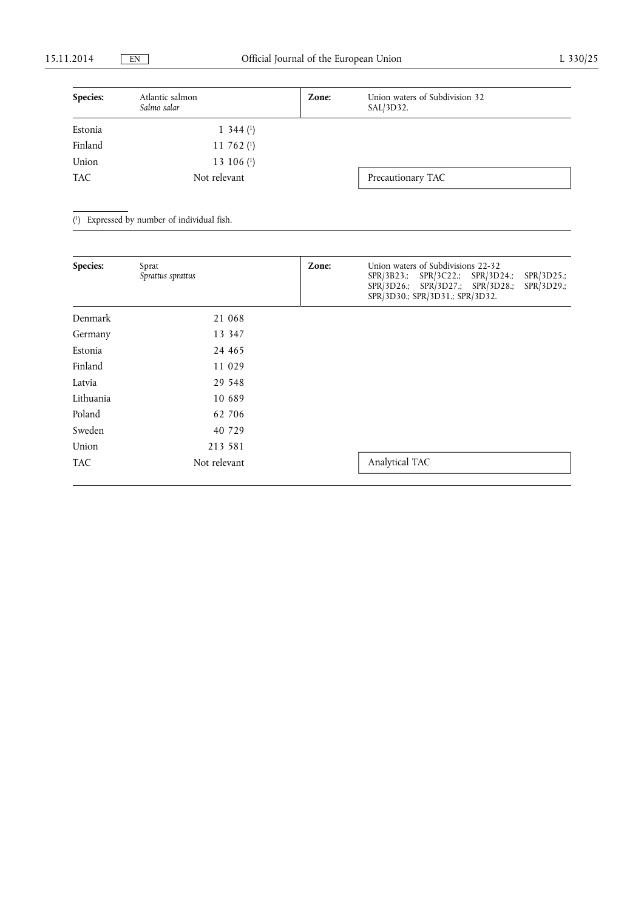| Species:   | Atlantic salmon<br>Salmo salar | Zone: | Union waters of Subdivision 32<br>SAL/3D32. |  |
|------------|--------------------------------|-------|---------------------------------------------|--|
| Estonia    | $1\,344\,(1)$                  |       |                                             |  |
| Finland    | 11 762 $(1)$                   |       |                                             |  |
| Union      | 13 106 $(1)$                   |       |                                             |  |
| <b>TAC</b> | Not relevant                   |       | Precautionary TAC                           |  |

( 1) Expressed by number of individual fish.

| Species:   | Sprat<br>Sprattus sprattus | Zone: | Union waters of Subdivisions 22-32<br>SPR/3D25.;<br>SPR/3B23.; SPR/3C22.; SPR/3D24.;<br>SPR/3D26.; SPR/3D27.; SPR/3D28.;<br>$SPR/3D29$ .;<br>SPR/3D30.; SPR/3D31.; SPR/3D32. |
|------------|----------------------------|-------|------------------------------------------------------------------------------------------------------------------------------------------------------------------------------|
| Denmark    | 21 068                     |       |                                                                                                                                                                              |
| Germany    | 13 347                     |       |                                                                                                                                                                              |
| Estonia    | 24 4 65                    |       |                                                                                                                                                                              |
| Finland    | 11 029                     |       |                                                                                                                                                                              |
| Latvia     | 29 548                     |       |                                                                                                                                                                              |
| Lithuania  | 10 689                     |       |                                                                                                                                                                              |
| Poland     | 62 706                     |       |                                                                                                                                                                              |
| Sweden     | 40 729                     |       |                                                                                                                                                                              |
| Union      | 213 581                    |       |                                                                                                                                                                              |
| <b>TAC</b> | Not relevant               |       | Analytical TAC                                                                                                                                                               |